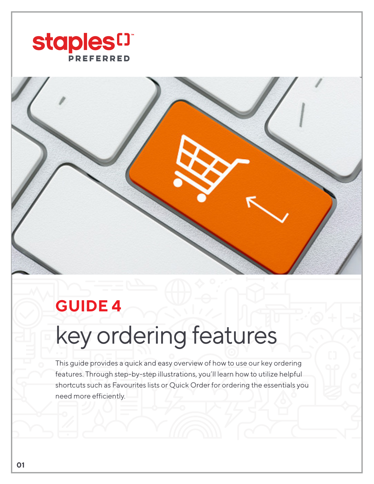



## **GUIDE 4**

## key ordering features

This guide provides a quick and easy overview of how to use our key ordering features. Through step-by-step illustrations, you'll learn how to utilize helpful shortcuts such as Favourites lists or Quick Order for ordering the essentials you need more efficiently.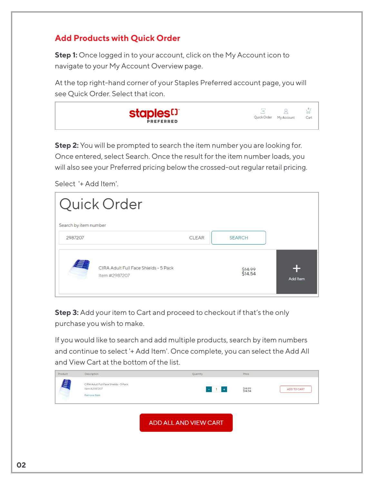## **Add Products with Quick Order**

**Step 1:** Once logged in to your account, click on the My Account icon to navigate to your My Account Overview page.

At the top right-hand corner of your Staples Preferred account page, you will see Quick Order. Select that icon.

| <b>staples<sup>[]</sup></b><br>ఠం<br>Quick Order<br>My Account<br>Cart<br><b>PREFERRED</b> |
|--------------------------------------------------------------------------------------------|
|--------------------------------------------------------------------------------------------|

**Step 2:** You will be prompted to search the item number you are looking for. Once entered, select Search. Once the result for the item number loads, you will also see your Preferred pricing below the crossed-out regular retail pricing.

|                       | Quick Order                                            |                               |          |
|-----------------------|--------------------------------------------------------|-------------------------------|----------|
| Search by item number |                                                        |                               |          |
| 2987207               |                                                        | <b>SEARCH</b><br><b>CLEAR</b> |          |
| <u>est</u>            | CIRA Adult Full Face Shields - 5 Pack<br>Item #2987207 | <del>\$14.99</del><br>\$14.54 | Add Item |

Select '+ Add Item'.

**Step 3:** Add your item to Cart and proceed to checkout if that's the only purchase you wish to make.

If you would like to search and add multiple products, search by item numbers and continue to select '+ Add Item'. Once complete, you can select the Add All and View Cart at the bottom of the list.

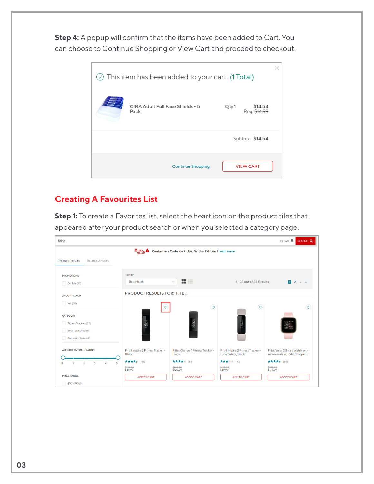**Step 4:** A popup will confirm that the items have been added to Cart. You can choose to Continue Shopping or View Cart and proceed to checkout.

| $\oslash$ This item has been added to your cart. (1 Total) |                                          |      |                         |  |
|------------------------------------------------------------|------------------------------------------|------|-------------------------|--|
|                                                            | CIRA Adult Full Face Shields - 5<br>Pack | Qty1 | \$14.54<br>Reg: \$14.99 |  |
|                                                            |                                          |      | Subtotal \$14.54        |  |
|                                                            | <b>Continue Shopping</b>                 |      | <b>VIEW CART</b>        |  |

## **Creating A Favourites List**

**Step 1:** To create a Favorites list, select the heart icon on the product tiles that appeared after your product search or when you selected a category page.

| fitbit                                                          |                                             |                                                        |                                                         | CLEAR O<br>SEARCH Q                                             |
|-----------------------------------------------------------------|---------------------------------------------|--------------------------------------------------------|---------------------------------------------------------|-----------------------------------------------------------------|
|                                                                 | $\mathbb{Z}$                                | Contactless Curbside Pickup Within 2-Hours! Learn more |                                                         |                                                                 |
| <b>Product Results</b><br><b>Related Articles</b>               |                                             |                                                        |                                                         |                                                                 |
| <b>PROMOTIONS</b>                                               | Sort by                                     |                                                        |                                                         |                                                                 |
| On Sale (18)                                                    | <b>Best Match</b>                           | 88 E.<br>$\checkmark$                                  | 1 - 32 out of 33 Results                                | $\overline{2}$<br>$\blacksquare$<br>$\rightarrow$ $\rightarrow$ |
| <b>2 HOUR PICKUP</b>                                            | <b>PRODUCT RESULTS FOR: FITBIT</b>          |                                                        |                                                         |                                                                 |
| Yes (20)                                                        |                                             | $\circ$                                                | $\circ$                                                 | $\circ$                                                         |
| <b>CATEGORY</b>                                                 |                                             |                                                        |                                                         |                                                                 |
| Fitness Trackers (25)                                           | $\frac{12}{58}$                             |                                                        | $\frac{12}{58}$                                         | 2:<br>58                                                        |
| Smart Watches (6)<br>Bathroom Scales (2)                        |                                             |                                                        |                                                         |                                                                 |
|                                                                 |                                             |                                                        |                                                         |                                                                 |
| <b>AVERAGE OVERALL RATING</b>                                   | Fitbit Inspire 2 Fitness Tracker -<br>Black | Fitbit Charge 4 Fitness Tracker -<br>Black             | Fitbit Inspire 2 Fitness Tracker -<br>Lunar White/Black | Fitbit Versa 2 Smart Watch with<br>Amazon Alexa, Petal/Copper   |
| 5<br>$\overline{2}$<br>$\overline{3}$<br>4<br>$\mathbf{0}$<br>1 | ★★★★ (42)                                   | ★★★★ (35)                                              | ★★★★ (10)<br>\$129.99                                   | ★★★★★ (35)                                                      |
| <b>PRICE RANGE</b>                                              | \$129.99<br>\$89.99                         | \$169.99<br>\$129.99                                   | \$89.99                                                 | \$229.99<br>\$179.99                                            |
| $$50 - $75(5)$                                                  | ADD TO CART                                 | ADD TO CART                                            | ADD TO CART                                             | ADD TO CART                                                     |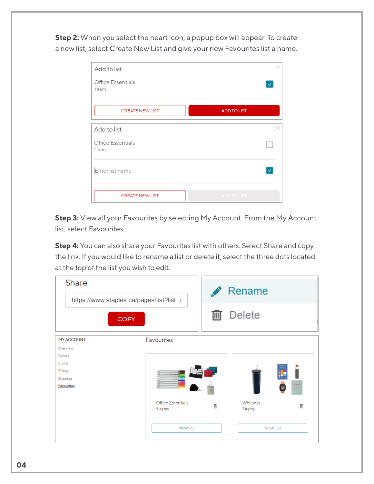**Step 2:** When you select the heart icon, a popup box will appear. To create a new list, select Create New List and give your new Favourites list a name.

| Add to list                        | X                  |
|------------------------------------|--------------------|
| <b>Office Essentials</b><br>1 item | $\checkmark$       |
| <b>CREATE NEW LIST</b>             | <b>ADD TO LIST</b> |
| Add to list                        | X                  |
| Office Essentials<br>1 item        |                    |
| Enter list name                    | $\checkmark$       |
| <b>CREATE NEW LIST</b>             | <b>ADD TO LIST</b> |

**Step 3:** View all your Favourites by selecting My Account. From the My Account list, select Favourites.

**Step 4:** You can also share your Favourites list with others. Select Share and copy the link. If you would like to rename a list or delete it, select the three dots located at the top of the list you wish to edit.

| <b>Share</b><br>https://www.staples.ca/pages/list?list_i |                              |   | Rename              |   |
|----------------------------------------------------------|------------------------------|---|---------------------|---|
| <b>COPY</b>                                              |                              |   | Delete              |   |
| <b>MY ACCOUNT</b>                                        | Favourites                   |   |                     |   |
| Overview<br>Orders                                       |                              |   |                     |   |
| Profile                                                  |                              |   |                     |   |
| <b>Billing</b>                                           |                              |   |                     |   |
| Shipping                                                 |                              |   |                     |   |
| <b>Favourites</b>                                        |                              |   |                     |   |
|                                                          | Office Essentials<br>5 items | 而 | Wellness<br>7 items | 画 |
|                                                          | <b>VIEW LIST</b>             |   | <b>VIEW LIST</b>    |   |